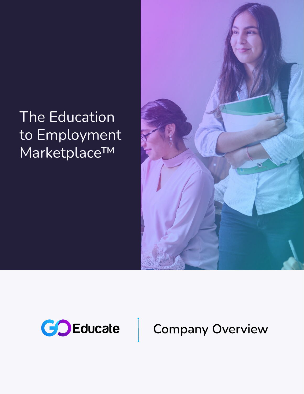## The Education to Employment Marketplace™





## **Company Overview**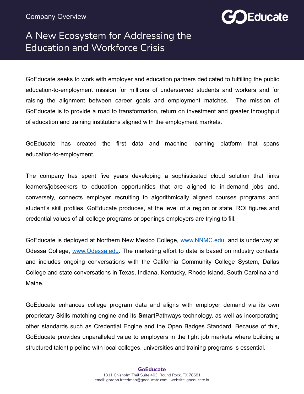

## A New Ecosystem for Addressing the Education and Workforce Crisis

GoEducate seeks to work with employer and education partners dedicated to fulfilling the public education-to-employment mission for millions of underserved students and workers and for raising the alignment between career goals and employment matches. The mission of GoEducate is to provide a road to transformation, return on investment and greater throughput of education and training institutions aligned with the employment markets.

GoEducate has created the first data and machine learning platform that spans education-to-employment.

The company has spent five years developing a sophisticated cloud solution that links learners/jobseekers to education opportunities that are aligned to in-demand jobs and, conversely, connects employer recruiting to algorithmically aligned courses programs and student's skill profiles. GoEducate produces, at the level of a region or state, ROI figures and credential values of all college programs or openings employers are trying to fill.

GoEducate is deployed at Northern New Mexico College, [www.NNMC.edu,](http://www.nnmc.edu) and is underway at Odessa College, [www.Odessa.edu](http://www.odessa.edu). The marketing effort to date is based on industry contacts and includes ongoing conversations with the California Community College System, Dallas College and state conversations in Texas, Indiana, Kentucky, Rhode Island, South Carolina and Maine.

GoEducate enhances college program data and aligns with employer demand via its own proprietary Skills matching engine and its **Smart**Pathways technology, as well as incorporating other standards such as Credential Engine and the Open Badges Standard. Because of this, GoEducate provides unparalleled value to employers in the tight job markets where building a structured talent pipeline with local colleges, universities and training programs is essential.